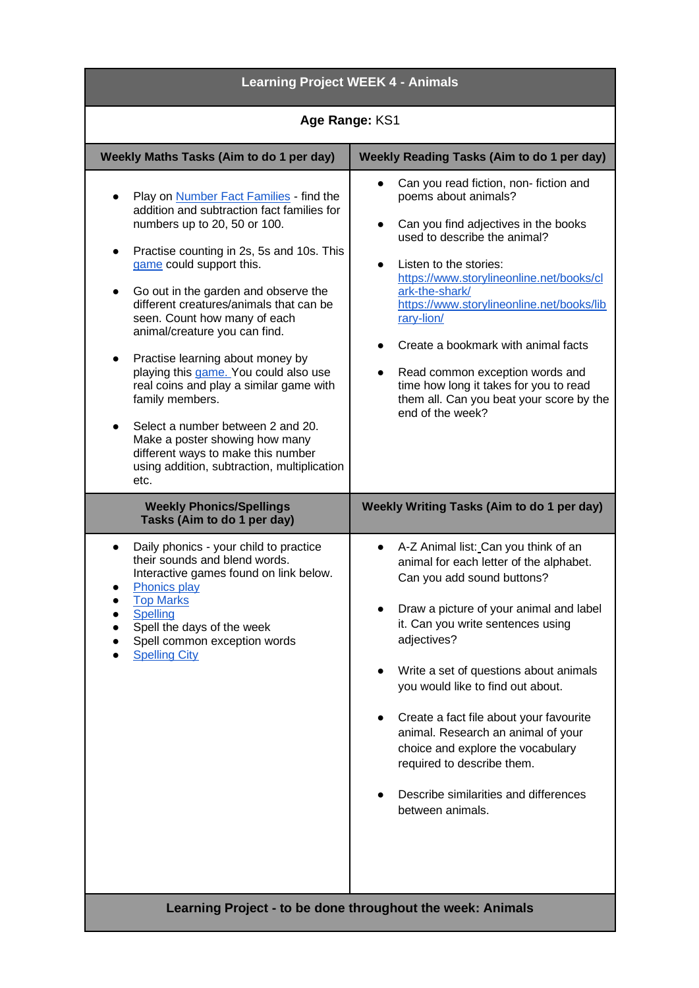| <b>Learning Project WEEK 4 - Animals</b>                                                                                                                                                                                                                                                                                                                                                                                                                                                                     |  |
|--------------------------------------------------------------------------------------------------------------------------------------------------------------------------------------------------------------------------------------------------------------------------------------------------------------------------------------------------------------------------------------------------------------------------------------------------------------------------------------------------------------|--|
| Age Range: KS1                                                                                                                                                                                                                                                                                                                                                                                                                                                                                               |  |
| <b>Weekly Reading Tasks (Aim to do 1 per day)</b>                                                                                                                                                                                                                                                                                                                                                                                                                                                            |  |
| Can you read fiction, non-fiction and<br>poems about animals?<br>Can you find adjectives in the books<br>$\bullet$<br>used to describe the animal?<br>Listen to the stories:<br>$\bullet$<br>https://www.storylineonline.net/books/cl<br>ark-the-shark/<br>https://www.storylineonline.net/books/lib<br>rary-lion/<br>Create a bookmark with animal facts<br>Read common exception words and<br>time how long it takes for you to read<br>them all. Can you beat your score by the<br>end of the week?       |  |
| <b>Weekly Writing Tasks (Aim to do 1 per day)</b>                                                                                                                                                                                                                                                                                                                                                                                                                                                            |  |
| A-Z Animal list: Can you think of an<br>animal for each letter of the alphabet.<br>Can you add sound buttons?<br>Draw a picture of your animal and label<br>it. Can you write sentences using<br>adjectives?<br>Write a set of questions about animals<br>you would like to find out about.<br>Create a fact file about your favourite<br>animal. Research an animal of your<br>choice and explore the vocabulary<br>required to describe them.<br>Describe similarities and differences<br>between animals. |  |
| Learning Project - to be done throughout the week: Animals                                                                                                                                                                                                                                                                                                                                                                                                                                                   |  |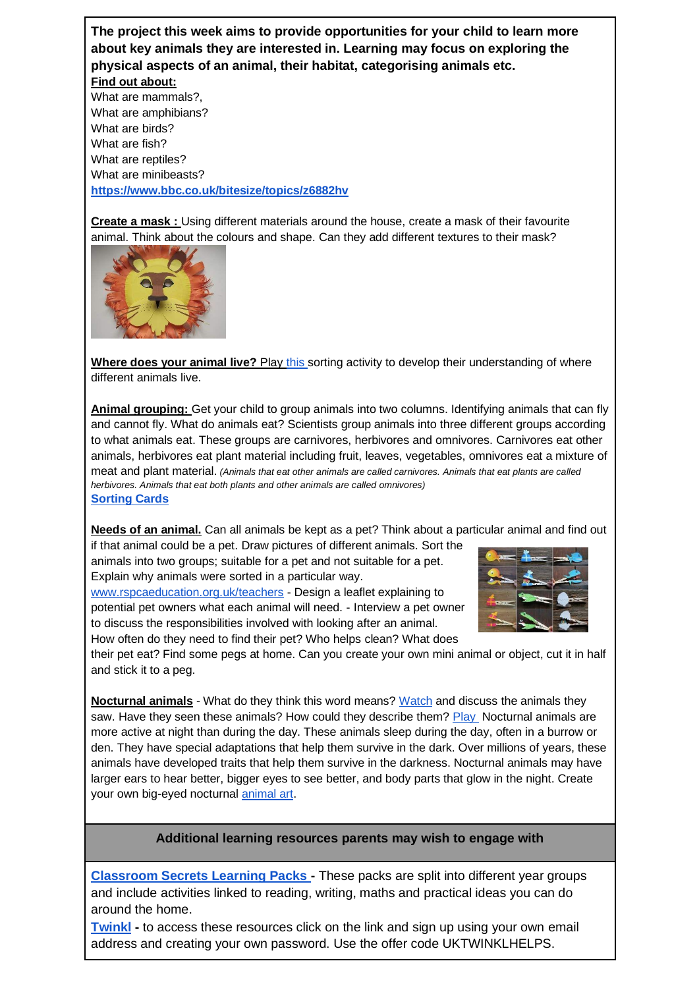## **The project this week aims to provide opportunities for your child to learn more about key animals they are interested in. Learning may focus on exploring the physical aspects of an animal, their habitat, categorising animals etc.**

**Find out about:**

What are mammals?, What are amphibians? What are birds? What are fish? What are reptiles? What are minibeasts? **<https://www.bbc.co.uk/bitesize/topics/z6882hv>**

**Create a mask :** Using different materials around the house, create a mask of their favourite animal. Think about the colours and shape. Can they add different textures to their mask?



**Where does your animal live?** Pla[y this s](http://resources.hwb.wales.gov.uk/VTC/animal_homes/eng/Introduction/default.htm)orting activity to develop their understanding of where different animals live.

**Animal grouping:** Get your child to group animals into two columns. Identifying animals that can fly and cannot fly. What do animals eat? Scientists group animals into three different groups according to what animals eat. These groups are carnivores, herbivores and omnivores. Carnivores eat other animals, herbivores eat plant material including fruit, leaves, vegetables, omnivores eat a mixture of meat and plant material. *(Animals that eat other animals are called carnivores. Animals that eat plants are called herbivores. Animals that eat both plants and other animals are called omnivores)*  **[Sorting Cards](https://www.twinkl.co.uk/resource/t-t-19730-animal-groups-sorting-cards-photos)**

**Needs of an animal.** Can all animals be kept as a pet? Think about a particular animal and find out

if that animal could be a pet. Draw pictures of different animals. Sort the animals into two groups; suitable for a pet and not suitable for a pet. Explain why animals were sorted in a particular way.

[www.rspcaeducation.org.uk/teachers](http://www.rspcaeducation.org.uk/teachers) - Design a leaflet explaining to potential pet owners what each animal will need. - Interview a pet owner to discuss the responsibilities involved with looking after an animal. How often do they need to find their pet? Who helps clean? What does



their pet eat? Find some pegs at home. Can you create your own mini animal or object, cut it in half and stick it to a peg.

**Nocturnal animals** - What do they think this word means? [Watch](https://www.bbc.co.uk/bitesize/clips/zsshfg8) and discuss the animals they saw. Have they seen these animals? How could they describe them? [Play](https://ictgames.com/mobilePage/nocturnal/index.html) Nocturnal animals are more active at night than during the day. These animals sleep during the day, often in a burrow or den. They have special adaptations that help them survive in the dark. Over millions of years, these animals have developed traits that help them survive in the darkness. Nocturnal animals may have larger ears to hear better, bigger eyes to see better, and body parts that glow in the night. Create your own big-eyed nocturnal [animal art.](https://www.greenkidcrafts.com/6-nocturnal-animal-crafts/)

## **Additional learning resources parents may wish to engage with**

**[Classroom Secrets Learning Packs -](https://classroomsecrets.co.uk/free-home-learning-packs/)** These packs are split into different year groups and include activities linked to reading, writing, maths and practical ideas you can do around the home.

**[Twinkl](https://www.twinkl.co.uk/offer/UKTWINKLHELPS?utm_source=promo&utm_medium=email&utm_campaign=England_coronavirus_schools_email&utm_content=offer_link) -** to access these resources click on the link and sign up using your own email address and creating your own password. Use the offer code UKTWINKLHELPS.